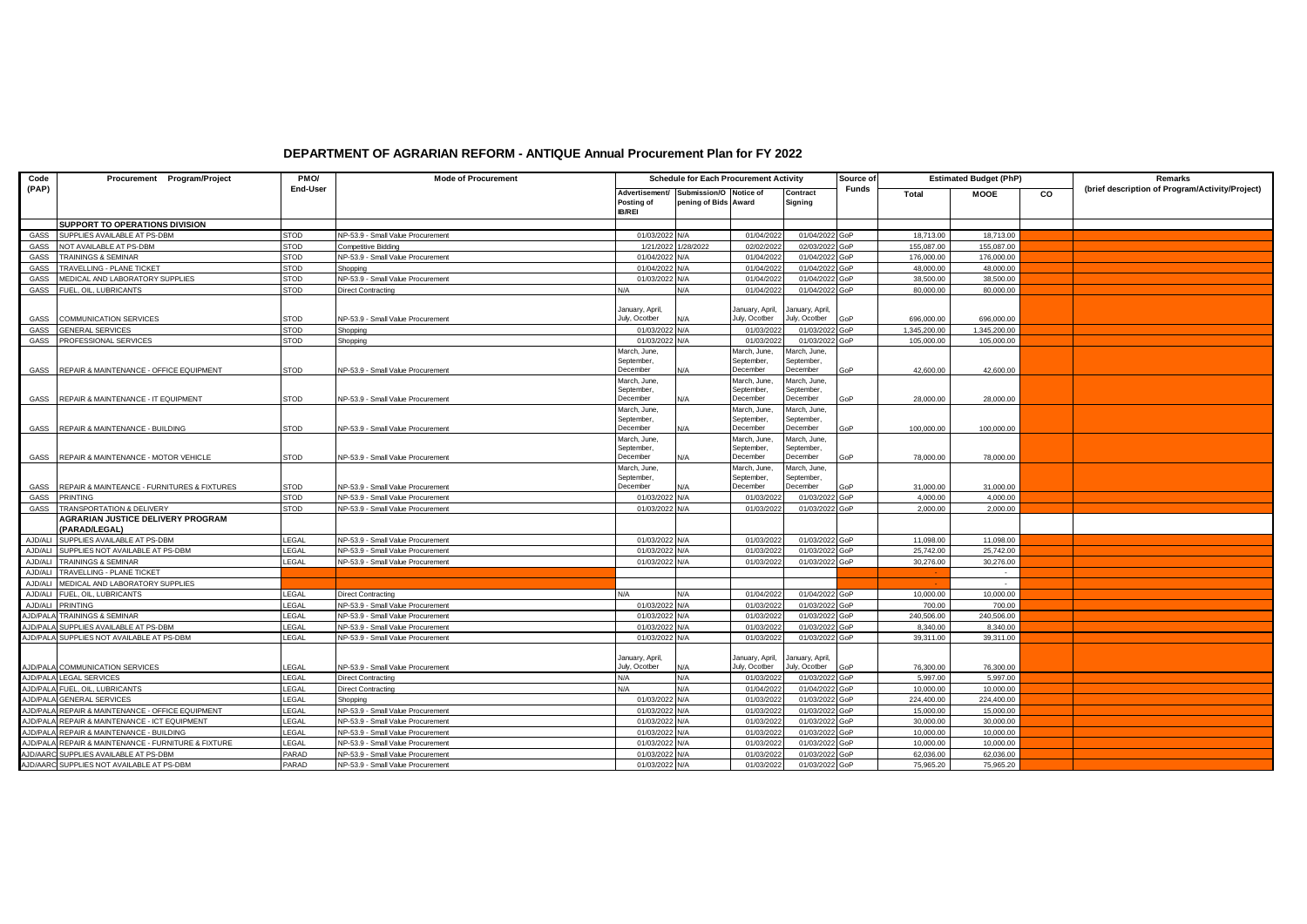## **DEPARTMENT OF AGRARIAN REFORM - ANTIQUE Annual Procurement Plan for FY 2022**

| Code            | Procurement Program/Project                             | PMO/         | <b>Mode of Procurement</b>                                             | <b>Schedule for Each Procurement Activity</b> |                        |                                  |                                  | Source of    | <b>Estimated Budget (PhP)</b> |                       |    | Remarks                                         |
|-----------------|---------------------------------------------------------|--------------|------------------------------------------------------------------------|-----------------------------------------------|------------------------|----------------------------------|----------------------------------|--------------|-------------------------------|-----------------------|----|-------------------------------------------------|
| (PAP)           |                                                         | End-User     |                                                                        | Advertisement/                                | Submission/O Notice of |                                  | Contract                         | <b>Funds</b> | Total                         | <b>MOOE</b>           | CO | (brief description of Program/Activity/Project) |
|                 |                                                         |              |                                                                        | Posting of<br><b>IB/REI</b>                   | pening of Bids Award   |                                  | Signing                          |              |                               |                       |    |                                                 |
|                 | SUPPORT TO OPERATIONS DIVISION                          |              |                                                                        |                                               |                        |                                  |                                  |              |                               |                       |    |                                                 |
| GASS            | SUPPLIES AVAILABLE AT PS-DBM                            | <b>STOD</b>  | NP-53.9 - Small Value Procurement                                      | 01/03/2022 N/A                                |                        | 01/04/202                        | 01/04/2022 GoP                   |              | 18,713.00                     | 18,713.00             |    |                                                 |
| GASS            | NOT AVAILABLE AT PS-DBM                                 | <b>STOD</b>  | <b>Competitive Bidding</b>                                             |                                               | 1/21/2022 1/28/2022    | 02/02/202                        | 02/03/2022 GoP                   |              | 155,087.00                    | 155,087.00            |    |                                                 |
| GASS            | TRAININGS & SEMINAR                                     | STOD         | NP-53.9 - Small Value Procurement                                      | 01/04/2022 N/A                                |                        | 01/04/202                        | 01/04/2022 GoP                   |              | 176,000.00                    | 176,000.00            |    |                                                 |
| GASS            | <b>TRAVELLING - PLANE TICKET</b>                        | <b>STOD</b>  | Shopping                                                               | 01/04/2022 N/A                                |                        | 01/04/202                        | 01/04/2022 GoP                   |              | 48,000.00                     | 48,000.00             |    |                                                 |
| GASS            | <b><i>MEDICAL AND LABORATORY SUPPLIES</i></b>           | <b>STOD</b>  | NP-53.9 - Small Value Procurement                                      | 01/03/2022 N/A                                |                        | 01/04/202                        | 01/04/202                        | GoP          | 38,500.00                     | 38,500.00             |    |                                                 |
| GASS            | FUEL, OIL, LUBRICANTS                                   | STOD         | <b>Direct Contracting</b>                                              | N/A                                           | N/A                    | 01/04/202                        | 01/04/2022 GoP                   |              | 80,000.00                     | 80,000.00             |    |                                                 |
|                 |                                                         |              |                                                                        |                                               |                        |                                  |                                  |              |                               |                       |    |                                                 |
| GASS            | COMMUNICATION SERVICES                                  | <b>STOD</b>  | NP-53.9 - Small Value Procurement                                      | January, April,<br>July, Ocotber              | N/A                    | January, April,<br>July, Ocotber | January, April,<br>July, Ocotber | GoP          | 696,000.00                    | 696,000.00            |    |                                                 |
| GASS            | <b>GENERAL SERVICES</b>                                 | STOD         | Shopping                                                               | 01/03/2022 N/A                                |                        | 01/03/202                        | 01/03/2022 GoP                   |              | 1,345,200.00                  | 1,345,200.00          |    |                                                 |
| GASS            | PROFESSIONAL SERVICES                                   | <b>STOD</b>  | Shopping                                                               | 01/03/2022 N/A                                |                        | 01/03/202                        | 01/03/2022                       | GoP          | 105,000.00                    | 105,000.00            |    |                                                 |
|                 |                                                         |              |                                                                        | March, June,                                  |                        | March, June.                     | March, June.                     |              |                               |                       |    |                                                 |
|                 |                                                         |              |                                                                        | September,                                    |                        | September,                       | September,                       |              |                               |                       |    |                                                 |
| GASS            | REPAIR & MAINTENANCE - OFFICE EQUIPMENT                 | STOD         | NP-53.9 - Small Value Procurement                                      | December                                      | N/A                    | December                         | December                         | GoP          | 42.600.00                     | 42.600.00             |    |                                                 |
|                 |                                                         |              |                                                                        | March, June,                                  |                        | March, June.                     | March, June,                     |              |                               |                       |    |                                                 |
| GASS            | REPAIR & MAINTENANCE - IT EQUIPMENT                     | <b>STOD</b>  |                                                                        | September,<br>December                        | N/A                    | September,<br>December           | September,<br>December           | GoP          | 28,000.00                     | 28,000.00             |    |                                                 |
|                 |                                                         |              | NP-53.9 - Small Value Procurement                                      | March, June,                                  |                        | March, June.                     | March, June.                     |              |                               |                       |    |                                                 |
|                 |                                                         |              |                                                                        | September,                                    |                        | September,                       | September,                       |              |                               |                       |    |                                                 |
| GASS            | REPAIR & MAINTENANCE - BUILDING                         | <b>STOD</b>  | NP-53.9 - Small Value Procurement                                      | December                                      | J/A                    | December                         | December                         | GoP          | 100,000.00                    | 100,000.00            |    |                                                 |
|                 |                                                         |              |                                                                        | March, June,                                  |                        | March, June.                     | March, June.                     |              |                               |                       |    |                                                 |
|                 |                                                         |              |                                                                        | September,                                    |                        | September,                       | September,                       |              |                               |                       |    |                                                 |
| GASS            | REPAIR & MAINTENANCE - MOTOR VEHICLE                    | STOD         | NP-53.9 - Small Value Procurement                                      | December                                      |                        | December                         | December                         | GoP          | 78,000.00                     | 78,000.00             |    |                                                 |
|                 |                                                         |              |                                                                        | March, June,                                  |                        | March, June,                     | March, June,                     |              |                               |                       |    |                                                 |
|                 |                                                         |              |                                                                        | September,                                    |                        | September,                       | September,                       |              |                               |                       |    |                                                 |
| GASS<br>GASS    | REPAIR & MAINTEANCE - FURNITURES & FIXTURES<br>PRINTING | STOD<br>STOD | NP-53.9 - Small Value Procurement                                      | December<br>01/03/2022 N/A                    |                        | December<br>01/03/202            | December<br>01/03/2022           | GoP<br>GoP   | 31,000.00<br>4,000.00         | 31,000.00<br>4,000.00 |    |                                                 |
| GASS            | TRANSPORTATION & DELIVERY                               | <b>STOD</b>  | NP-53.9 - Small Value Procurement<br>NP-53.9 - Small Value Procurement | 01/03/2022 N/A                                |                        | 01/03/2022                       | 01/03/2022                       | GoP          | 2,000.00                      | 2,000.00              |    |                                                 |
|                 | <b>AGRARIAN JUSTICE DELIVERY PROGRAM</b>                |              |                                                                        |                                               |                        |                                  |                                  |              |                               |                       |    |                                                 |
|                 | <b>PARAD/LEGAL)</b>                                     |              |                                                                        |                                               |                        |                                  |                                  |              |                               |                       |    |                                                 |
| AJD/ALI         | SUPPLIES AVAILABLE AT PS-DBM                            | LEGAL        | NP-53.9 - Small Value Procurement                                      | 01/03/2022 N/A                                |                        | 01/03/202                        | 01/03/2022 GoP                   |              | 11.098.00                     | 11.098.00             |    |                                                 |
| AJD/ALI         | SUPPLIES NOT AVAILABLE AT PS-DBM                        | LEGAL        | NP-53.9 - Small Value Procurement                                      | 01/03/2022 N/A                                |                        | 01/03/202                        | 01/03/2022 GoP                   |              | 25,742.00                     | 25,742.00             |    |                                                 |
| AJD/ALI         | <b>TRAININGS &amp; SEMINAR</b>                          | <b>EGAL</b>  | NP-53.9 - Small Value Procurement                                      | 01/03/2022 N/A                                |                        | 01/03/202                        | 01/03/2022 GoP                   |              | 30,276.00                     | 30,276.00             |    |                                                 |
| AJD/ALI         | TRAVELLING - PLANE TICKET                               |              |                                                                        |                                               |                        |                                  |                                  |              |                               | $\sim$                |    |                                                 |
| AJD/ALI         | MEDICAL AND LABORATORY SUPPLIES                         |              |                                                                        |                                               |                        |                                  |                                  |              |                               | $\sim$                |    |                                                 |
| AJD/ALI         | UEL, OIL, LUBRICANTS                                    | <b>EGAL</b>  | <b>Direct Contracting</b>                                              | N/A                                           | N/A                    | 01/04/202                        | 01/04/2022 GoP                   |              | 10.000.00                     | 10.000.00             |    |                                                 |
| AJD/ALI         | PRINTING                                                | <b>EGAL</b>  | NP-53.9 - Small Value Procurement                                      | 01/03/2022 N/A                                |                        | 01/03/202                        | 01/03/2022                       | GoP          | 700.00                        | 700.00                |    |                                                 |
| AJD/PALA        | <b>RAININGS &amp; SEMINAR</b>                           | LEGAL        | NP-53.9 - Small Value Procurement                                      | 01/03/2022 N/A                                |                        | 01/03/202                        | 01/03/202                        | GoP          | 240,506.00                    | 240,506.00            |    |                                                 |
| AJD/PALA        | SUPPLIES AVAILABLE AT PS-DBM                            | <b>EGAL</b>  | NP-53.9 - Small Value Procurement                                      | 01/03/2022 N/A                                |                        | 01/03/202                        | 01/03/2022 GoP                   |              | 8,340.00                      | 8,340.00              |    |                                                 |
|                 | AJD/PALA SUPPLIES NOT AVAILABLE AT PS-DBM               | <b>EGAL</b>  | NP-53.9 - Small Value Procurement                                      | 01/03/2022 N/A                                |                        | 01/03/2022                       | 01/03/2022 GoP                   |              | 39.311.00                     | 39,311.00             |    |                                                 |
|                 |                                                         |              |                                                                        |                                               |                        |                                  |                                  |              |                               |                       |    |                                                 |
|                 |                                                         |              |                                                                        | January, April,                               |                        | January, April,                  | January, April,                  |              |                               |                       |    |                                                 |
|                 | AJD/PALA COMMUNICATION SERVICES                         | <b>EGAL</b>  | NP-53.9 - Small Value Procurement                                      | July, Ocotber                                 | N/A                    | July, Ocotber                    | July, Ocotber                    | GoP          | 76,300.00                     | 76,300.00             |    |                                                 |
|                 | <b>AJD/PALA LEGAL SERVICES</b>                          | EGAL         | <b>Direct Contracting</b>                                              | N/A                                           | N/A                    | 01/03/202                        | 01/03/2022 GoP                   |              | 5,997.00                      | 5,997.00              |    |                                                 |
| AJD/PALA        | FUEL, OIL, LUBRICANTS                                   | <b>EGAL</b>  | <b>Direct Contracting</b>                                              | N/A                                           | N/A                    | 01/04/202                        | 01/04/2022 GoP                   |              | 10,000.00                     | 10,000.00             |    |                                                 |
| AJD/PALA        | <b>GENERAL SERVICES</b>                                 | LEGAL        | Shopping                                                               | 01/03/2022 N/A                                |                        | 01/03/202                        | 01/03/2022 GoP                   |              | 224,400.00                    | 224,400.00            |    |                                                 |
| AJD/PALA        | REPAIR & MAINTENANCE - OFFICE EQUIPMENT                 | <b>EGAL</b>  | NP-53.9 - Small Value Procurement                                      | 01/03/2022 N/A                                |                        | 01/03/202                        | 01/03/2022 GoP                   |              | 15,000.00                     | 15,000.00             |    |                                                 |
| <b>AJD/PALA</b> | REPAIR & MAINTENANCE - ICT EQUIPMENT                    | LEGAL        | NP-53.9 - Small Value Procurement                                      | 01/03/2022 N/A                                |                        | 01/03/202                        | 01/03/2022 GoP                   |              | 30,000.00                     | 30,000.00             |    |                                                 |
| AJD/PALA        | REPAIR & MAINTENANCE - BUILDING                         | <b>EGAL</b>  | NP-53.9 - Small Value Procurement                                      | 01/03/2022 N/A                                |                        | 01/03/202                        | 01/03/2022 GoP                   |              | 10,000.00                     | 10,000.00             |    |                                                 |
| AJD/PAL/        | REPAIR & MAINTENANCE - FURNITURE & FIXTURE              | LEGAL        | NP-53.9 - Small Value Procurement                                      | 01/03/2022 N/A                                |                        | 01/03/202                        | 01/03/2022 GoP                   |              | 10,000.00                     | 10,000.00             |    |                                                 |
| A.ID/AARC       | SUPPLIES AVAILABLE AT PS-DBM                            | PARAD        | NP-53.9 - Small Value Procurement                                      | 01/03/2022 N/A                                |                        | 01/03/202                        | 01/03/2022 GoP                   |              | 62,036.00                     | 62,036.00             |    |                                                 |
|                 | AJD/AARC SUPPLIES NOT AVAILABLE AT PS-DBM               | PARAD        | NP-53.9 - Small Value Procurement                                      | 01/03/2022 N/A                                |                        | 01/03/2022                       | 01/03/2022 GoP                   |              | 75,965.20                     | 75,965.20             |    |                                                 |